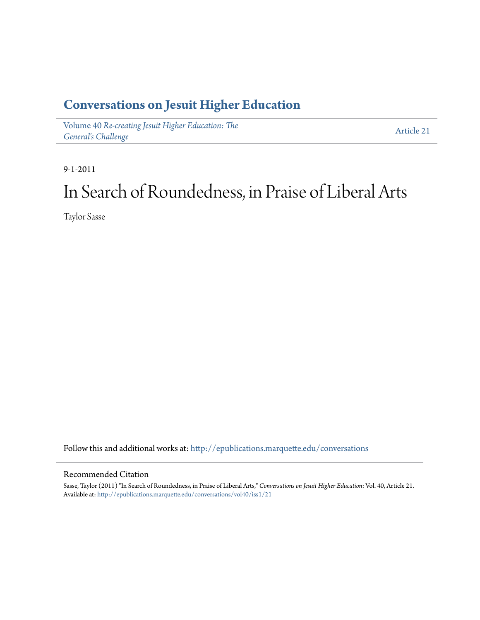### **[Conversations on Jesuit Higher Education](http://epublications.marquette.edu/conversations?utm_source=epublications.marquette.edu%2Fconversations%2Fvol40%2Fiss1%2F21&utm_medium=PDF&utm_campaign=PDFCoverPages)**

Volume 40 *[Re-creating Jesuit Higher Education: The](http://epublications.marquette.edu/conversations/vol40?utm_source=epublications.marquette.edu%2Fconversations%2Fvol40%2Fiss1%2F21&utm_medium=PDF&utm_campaign=PDFCoverPages) [General's Challenge](http://epublications.marquette.edu/conversations/vol40?utm_source=epublications.marquette.edu%2Fconversations%2Fvol40%2Fiss1%2F21&utm_medium=PDF&utm_campaign=PDFCoverPages)*

[Article 21](http://epublications.marquette.edu/conversations/vol40/iss1/21?utm_source=epublications.marquette.edu%2Fconversations%2Fvol40%2Fiss1%2F21&utm_medium=PDF&utm_campaign=PDFCoverPages)

9-1-2011

## In Search of Roundedness, in Praise of Liberal Arts

Taylor Sasse

Follow this and additional works at: [http://epublications.marquette.edu/conversations](http://epublications.marquette.edu/conversations?utm_source=epublications.marquette.edu%2Fconversations%2Fvol40%2Fiss1%2F21&utm_medium=PDF&utm_campaign=PDFCoverPages)

#### Recommended Citation

Sasse, Taylor (2011) "In Search of Roundedness, in Praise of Liberal Arts," *Conversations on Jesuit Higher Education*: Vol. 40, Article 21. Available at: [http://epublications.marquette.edu/conversations/vol40/iss1/21](http://epublications.marquette.edu/conversations/vol40/iss1/21?utm_source=epublications.marquette.edu%2Fconversations%2Fvol40%2Fiss1%2F21&utm_medium=PDF&utm_campaign=PDFCoverPages)